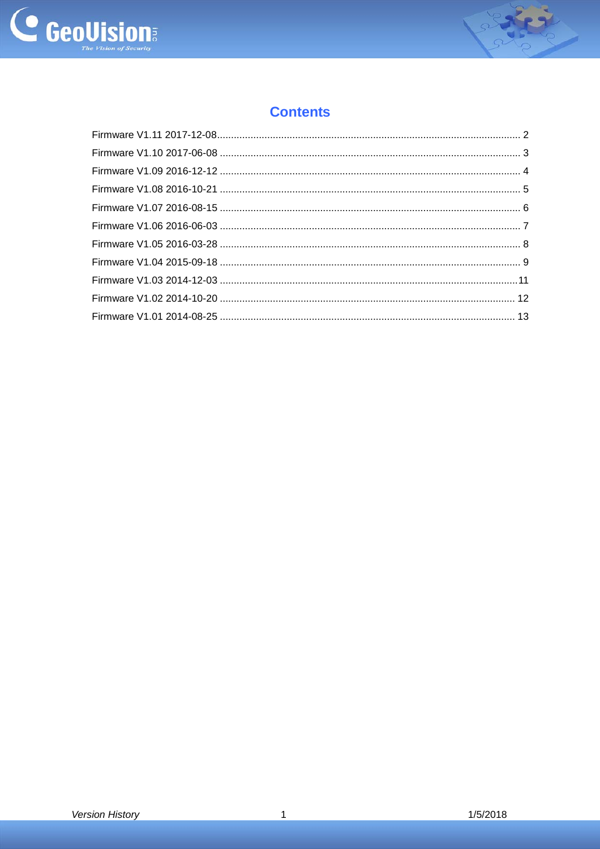



# **Contents**

 $\overline{1}$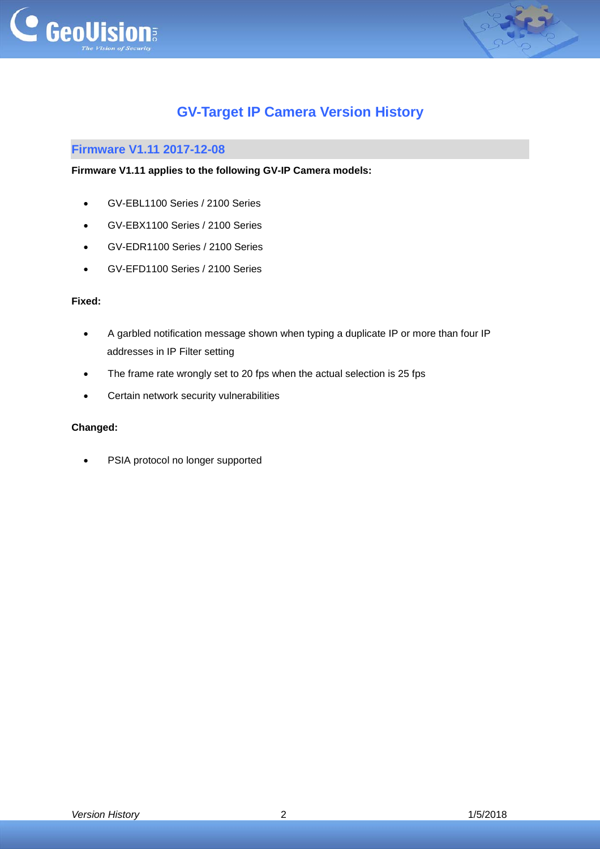



# **GV-Target IP Camera Version History**

# <span id="page-1-0"></span>**Firmware V1.11 2017-12-08**

## **Firmware V1.11 applies to the following GV-IP Camera models:**

- GV-EBL1100 Series / 2100 Series
- GV-EBX1100 Series / 2100 Series
- GV-EDR1100 Series / 2100 Series
- GV-EFD1100 Series / 2100 Series

#### **Fixed:**

- A garbled notification message shown when typing a duplicate IP or more than four IP addresses in IP Filter setting
- The frame rate wrongly set to 20 fps when the actual selection is 25 fps
- Certain network security vulnerabilities

### **Changed:**

• PSIA protocol no longer supported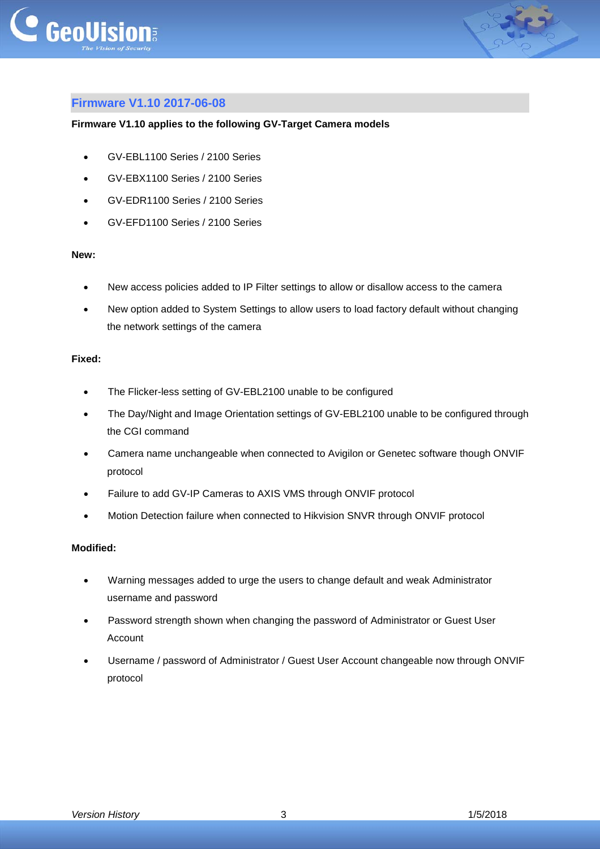



# <span id="page-2-0"></span>**Firmware V1.10 2017-06-08**

#### **Firmware V1.10 applies to the following GV-Target Camera models**

- GV-EBL1100 Series / 2100 Series
- GV-EBX1100 Series / 2100 Series
- GV-EDR1100 Series / 2100 Series
- GV-EFD1100 Series / 2100 Series

#### **New:**

- New access policies added to IP Filter settings to allow or disallow access to the camera
- New option added to System Settings to allow users to load factory default without changing the network settings of the camera

#### **Fixed:**

- The Flicker-less setting of GV-EBL2100 unable to be configured
- The Day/Night and Image Orientation settings of GV-EBL2100 unable to be configured through the CGI command
- Camera name unchangeable when connected to Avigilon or Genetec software though ONVIF protocol
- Failure to add GV-IP Cameras to AXIS VMS through ONVIF protocol
- Motion Detection failure when connected to Hikvision SNVR through ONVIF protocol

# **Modified:**

- Warning messages added to urge the users to change default and weak Administrator username and password
- Password strength shown when changing the password of Administrator or Guest User Account
- Username / password of Administrator / Guest User Account changeable now through ONVIF protocol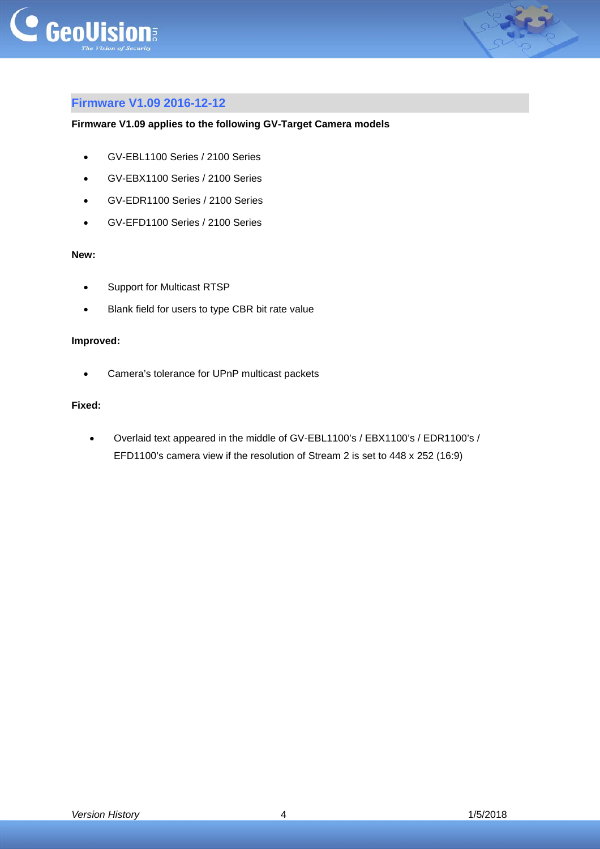



# <span id="page-3-0"></span>**Firmware V1.09 2016-12-12**

### **Firmware V1.09 applies to the following GV-Target Camera models**

- GV-EBL1100 Series / 2100 Series
- GV-EBX1100 Series / 2100 Series
- GV-EDR1100 Series / 2100 Series
- GV-EFD1100 Series / 2100 Series

#### **New:**

- Support for Multicast RTSP
- Blank field for users to type CBR bit rate value

#### **Improved:**

Camera's tolerance for UPnP multicast packets

#### **Fixed:**

 Overlaid text appeared in the middle of GV-EBL1100's / EBX1100's / EDR1100's / EFD1100's camera view if the resolution of Stream 2 is set to 448 x 252 (16:9)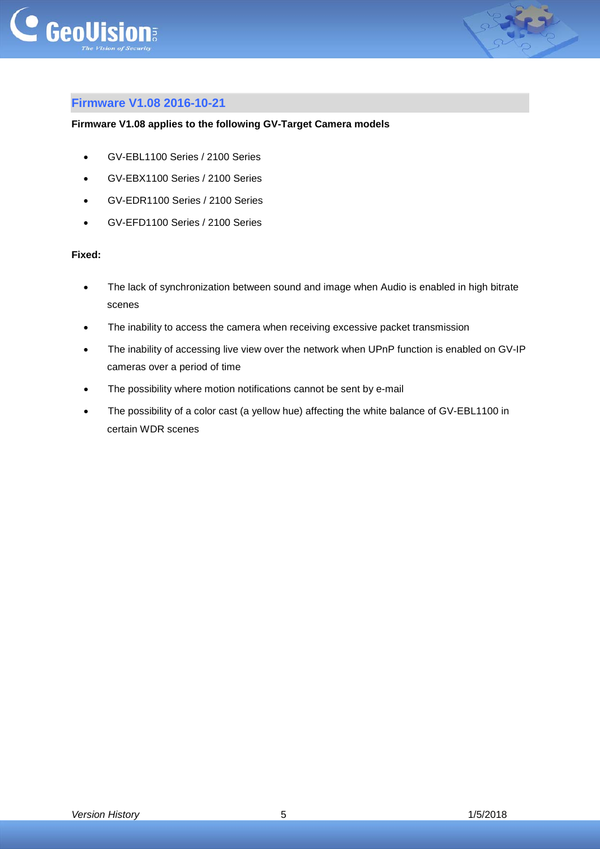



# <span id="page-4-0"></span>**Firmware V1.08 2016-10-21**

#### **Firmware V1.08 applies to the following GV-Target Camera models**

- GV-EBL1100 Series / 2100 Series
- GV-EBX1100 Series / 2100 Series
- GV-EDR1100 Series / 2100 Series
- GV-EFD1100 Series / 2100 Series

#### **Fixed:**

- The lack of synchronization between sound and image when Audio is enabled in high bitrate scenes
- The inability to access the camera when receiving excessive packet transmission
- The inability of accessing live view over the network when UPnP function is enabled on GV-IP cameras over a period of time
- The possibility where motion notifications cannot be sent by e-mail
- The possibility of a color cast (a yellow hue) affecting the white balance of GV-EBL1100 in certain WDR scenes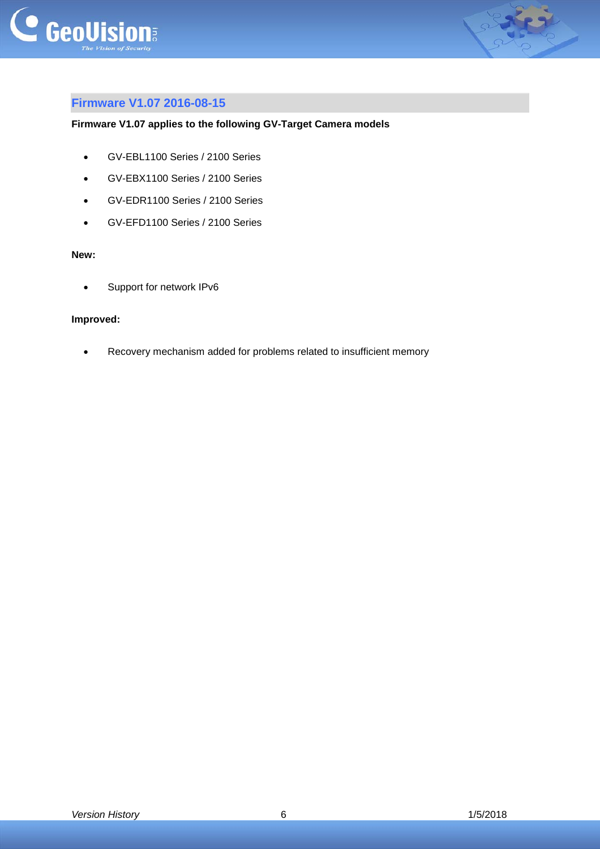



# <span id="page-5-0"></span>**Firmware V1.07 2016-08-15**

## **Firmware V1.07 applies to the following GV-Target Camera models**

- GV-EBL1100 Series / 2100 Series
- GV-EBX1100 Series / 2100 Series
- GV-EDR1100 Series / 2100 Series
- GV-EFD1100 Series / 2100 Series

#### **New:**

Support for network IPv6

### **Improved:**

Recovery mechanism added for problems related to insufficient memory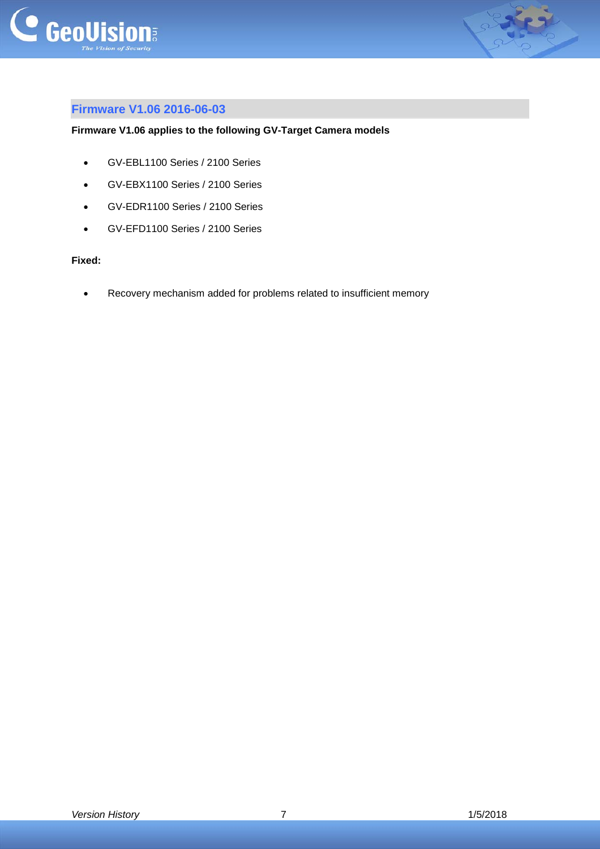



# <span id="page-6-0"></span>**Firmware V1.06 2016-06-03**

# **Firmware V1.06 applies to the following GV-Target Camera models**

- GV-EBL1100 Series / 2100 Series
- GV-EBX1100 Series / 2100 Series
- GV-EDR1100 Series / 2100 Series
- GV-EFD1100 Series / 2100 Series

## **Fixed:**

Recovery mechanism added for problems related to insufficient memory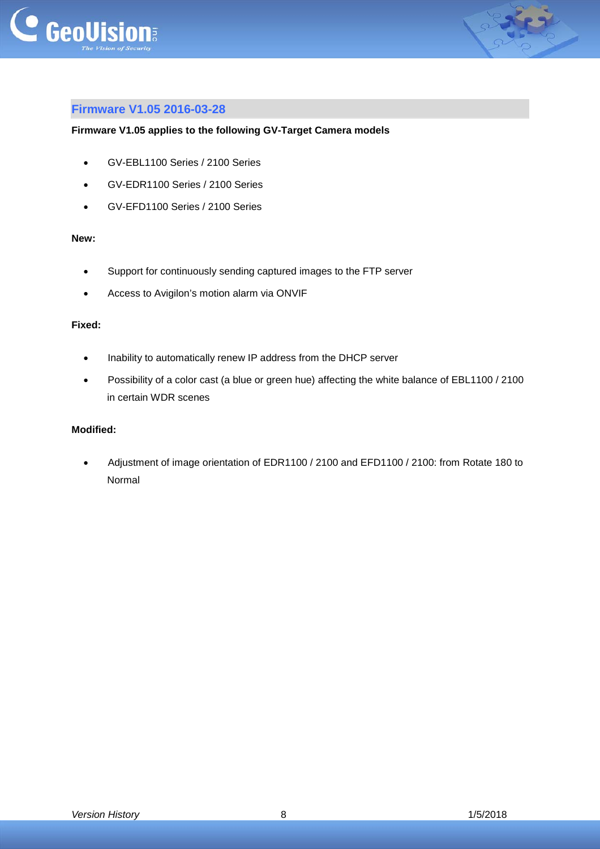



# <span id="page-7-0"></span>**Firmware V1.05 2016-03-28**

#### **Firmware V1.05 applies to the following GV-Target Camera models**

- GV-EBL1100 Series / 2100 Series
- GV-EDR1100 Series / 2100 Series
- GV-EFD1100 Series / 2100 Series

#### **New:**

- Support for continuously sending captured images to the FTP server
- Access to Avigilon's motion alarm via ONVIF

## **Fixed:**

- Inability to automatically renew IP address from the DHCP server
- Possibility of a color cast (a blue or green hue) affecting the white balance of EBL1100 / 2100 in certain WDR scenes

### **Modified:**

 Adjustment of image orientation of EDR1100 / 2100 and EFD1100 / 2100: from Rotate 180 to Normal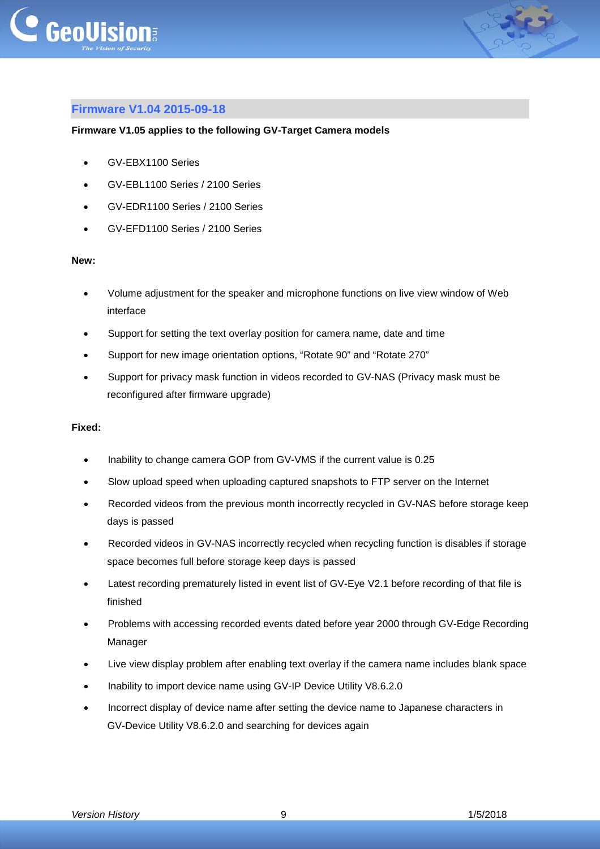



# <span id="page-8-0"></span>**Firmware V1.04 2015-09-18**

#### **Firmware V1.05 applies to the following GV-Target Camera models**

- GV-EBX1100 Series
- GV-EBL1100 Series / 2100 Series
- GV-EDR1100 Series / 2100 Series
- GV-EFD1100 Series / 2100 Series

#### **New:**

- Volume adjustment for the speaker and microphone functions on live view window of Web interface
- Support for setting the text overlay position for camera name, date and time
- Support for new image orientation options, "Rotate 90" and "Rotate 270"
- Support for privacy mask function in videos recorded to GV-NAS (Privacy mask must be reconfigured after firmware upgrade)

#### **Fixed:**

- Inability to change camera GOP from GV-VMS if the current value is 0.25
- Slow upload speed when uploading captured snapshots to FTP server on the Internet
- Recorded videos from the previous month incorrectly recycled in GV-NAS before storage keep days is passed
- Recorded videos in GV-NAS incorrectly recycled when recycling function is disables if storage space becomes full before storage keep days is passed
- Latest recording prematurely listed in event list of GV-Eye V2.1 before recording of that file is finished
- Problems with accessing recorded events dated before year 2000 through GV-Edge Recording Manager
- Live view display problem after enabling text overlay if the camera name includes blank space
- Inability to import device name using GV-IP Device Utility V8.6.2.0
- Incorrect display of device name after setting the device name to Japanese characters in GV-Device Utility V8.6.2.0 and searching for devices again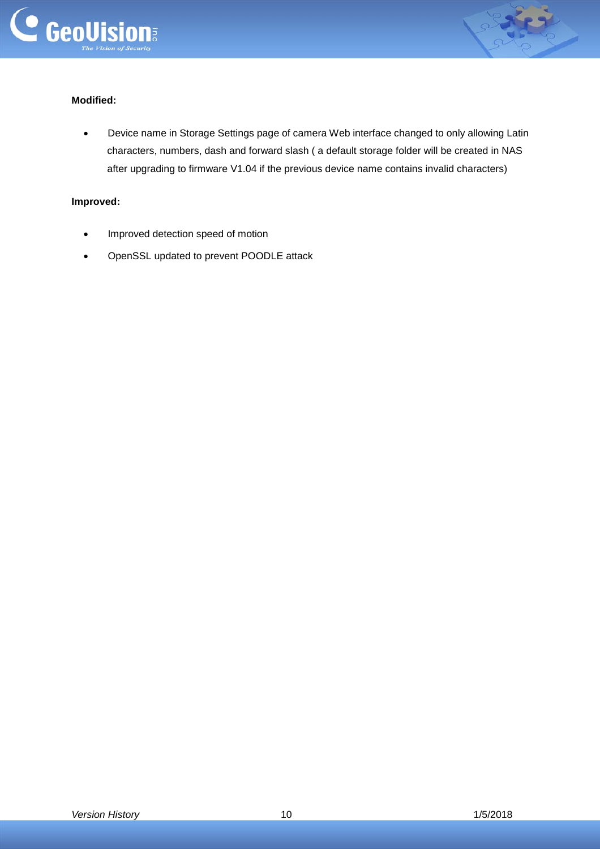



# **Modified:**

 Device name in Storage Settings page of camera Web interface changed to only allowing Latin characters, numbers, dash and forward slash ( a default storage folder will be created in NAS after upgrading to firmware V1.04 if the previous device name contains invalid characters)

## **Improved:**

- Improved detection speed of motion
- OpenSSL updated to prevent POODLE attack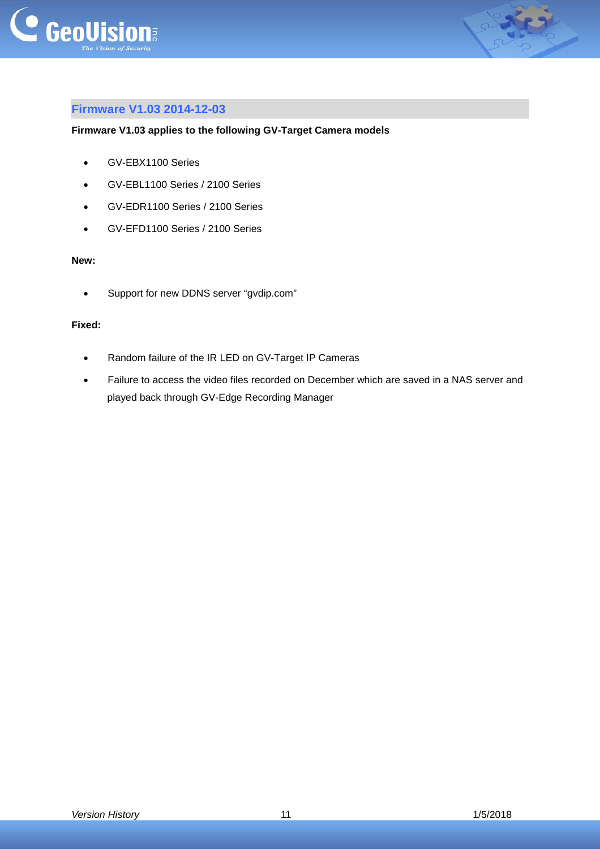



# <span id="page-10-0"></span>**Firmware V1.03 2014-12-03**

#### **Firmware V1.03 applies to the following GV-Target Camera models**

- GV-EBX1100 Series
- GV-EBL1100 Series / 2100 Series
- GV-EDR1100 Series / 2100 Series
- GV-EFD1100 Series / 2100 Series

#### **New:**

Support for new DDNS server "gvdip.com"

### **Fixed:**

- Random failure of the IR LED on GV-Target IP Cameras
- Failure to access the video files recorded on December which are saved in a NAS server and played back through GV-Edge Recording Manager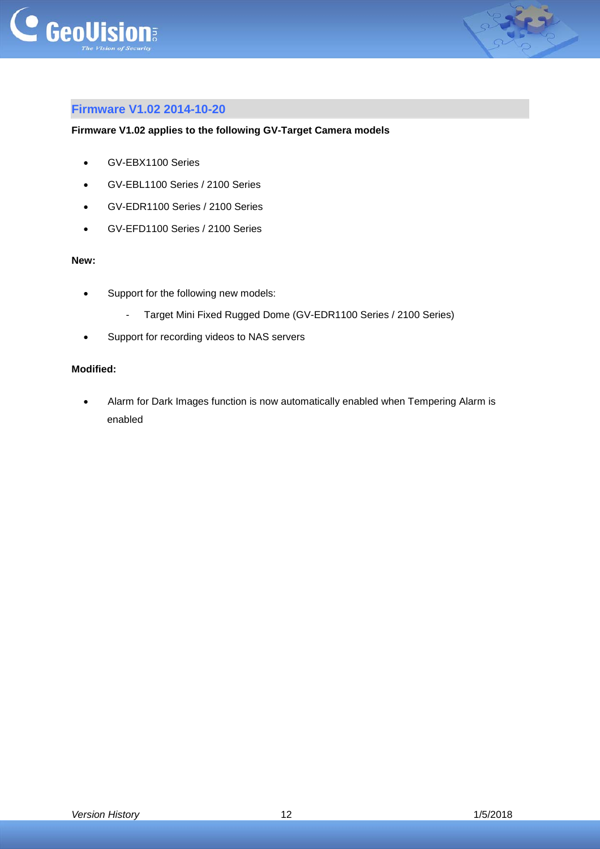



# <span id="page-11-0"></span>**Firmware V1.02 2014-10-20**

#### **Firmware V1.02 applies to the following GV-Target Camera models**

- GV-EBX1100 Series
- GV-EBL1100 Series / 2100 Series
- GV-EDR1100 Series / 2100 Series
- GV-EFD1100 Series / 2100 Series

#### **New:**

- Support for the following new models:
	- Target Mini Fixed Rugged Dome (GV-EDR1100 Series / 2100 Series)
- Support for recording videos to NAS servers

#### **Modified:**

 Alarm for Dark Images function is now automatically enabled when Tempering Alarm is enabled